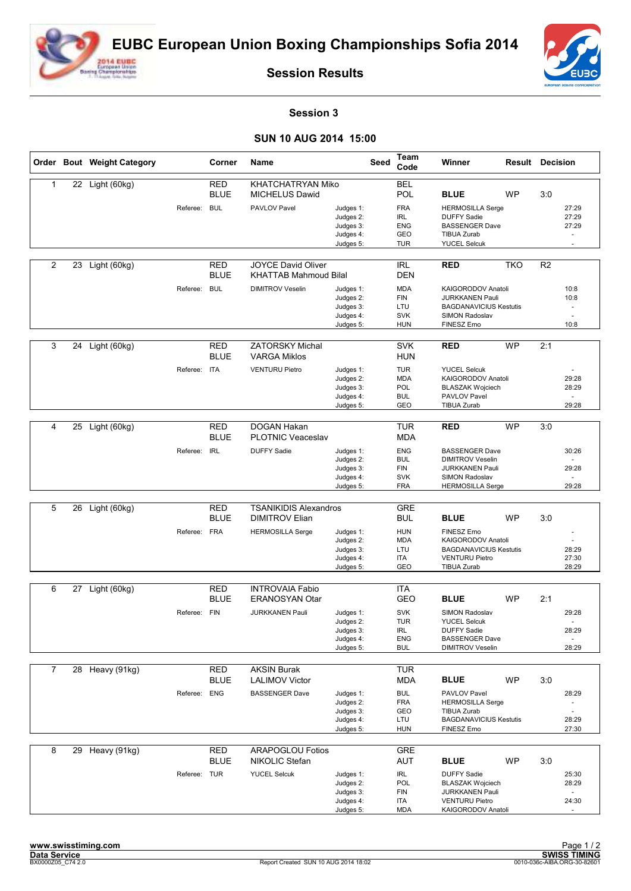



**Session Results**

## **Session 3**

## **SUN 10 AUG 2014 15:00**

|                |    | Order Bout Weight Category |              | Corner                    | Name                                               |                                                               | <b>Seed</b> | Team<br>Code                                                | Winner                                                                                                                 |           | <b>Result Decision</b> |                                                     |
|----------------|----|----------------------------|--------------|---------------------------|----------------------------------------------------|---------------------------------------------------------------|-------------|-------------------------------------------------------------|------------------------------------------------------------------------------------------------------------------------|-----------|------------------------|-----------------------------------------------------|
| $\mathbf{1}$   |    | 22 Light (60kg)            |              | <b>RED</b><br><b>BLUE</b> | <b>KHATCHATRYAN Miko</b><br><b>MICHELUS Dawid</b>  |                                                               |             | <b>BEL</b><br>POL                                           | <b>BLUE</b>                                                                                                            | <b>WP</b> | 3:0                    |                                                     |
|                |    |                            | Referee:     | BUL                       | PAVLOV Pavel                                       | Judges 1:<br>Judges 2:<br>Judges 3:<br>Judges 4:<br>Judges 5: |             | <b>FRA</b><br><b>IRL</b><br><b>ENG</b><br>GEO<br><b>TUR</b> | <b>HERMOSILLA Serge</b><br><b>DUFFY Sadie</b><br><b>BASSENGER Dave</b><br><b>TIBUA Zurab</b><br><b>YUCEL Selcuk</b>    |           |                        | 27:29<br>27:29<br>27:29<br>$\omega$<br>$\sim$       |
| $\overline{2}$ | 23 | Light (60kg)               |              | RED<br><b>BLUE</b>        | JOYCE David Oliver<br><b>KHATTAB Mahmoud Bilal</b> |                                                               |             | <b>IRL</b><br><b>DEN</b>                                    | <b>RED</b>                                                                                                             | TKO       | R2                     |                                                     |
|                |    |                            | Referee: BUL |                           | <b>DIMITROV Veselin</b>                            | Judges 1:<br>Judges 2:<br>Judges 3:<br>Judges 4:<br>Judges 5: |             | <b>MDA</b><br><b>FIN</b><br>LTU<br><b>SVK</b><br><b>HUN</b> | KAIGORODOV Anatoli<br><b>JURKKANEN Pauli</b><br><b>BAGDANAVICIUS Kestutis</b><br>SIMON Radoslav<br>FINESZ Erno         |           |                        | 10:8<br>10:8<br>$\overline{\phantom{a}}$<br>10:8    |
| 3              | 24 | Light (60kg)               |              | <b>RED</b><br><b>BLUE</b> | <b>ZATORSKY Michal</b><br><b>VARGA Miklos</b>      |                                                               |             | <b>SVK</b><br><b>HUN</b>                                    | <b>RED</b>                                                                                                             | <b>WP</b> | 2:1                    |                                                     |
|                |    |                            | Referee:     | <b>ITA</b>                | <b>VENTURU Pietro</b>                              | Judges 1:<br>Judges 2:<br>Judges 3:<br>Judges 4:<br>Judges 5: |             | <b>TUR</b><br><b>MDA</b><br>POL<br><b>BUL</b><br>GEO        | <b>YUCEL Selcuk</b><br>KAIGORODOV Anatoli<br><b>BLASZAK Wojciech</b><br>PAVLOV Pavel<br>TIBUA Zurab                    |           |                        | 29:28<br>28:29<br>$\overline{\phantom{a}}$<br>29:28 |
|                |    |                            |              |                           |                                                    |                                                               |             |                                                             |                                                                                                                        |           |                        |                                                     |
| $\overline{4}$ | 25 | Light (60kg)               |              | <b>RED</b><br><b>BLUE</b> | DOGAN Hakan<br><b>PLOTNIC Veaceslav</b>            |                                                               |             | <b>TUR</b><br><b>MDA</b>                                    | <b>RED</b>                                                                                                             | <b>WP</b> | 3:0                    |                                                     |
|                |    |                            | Referee: IRL |                           | <b>DUFFY Sadie</b>                                 | Judges 1:<br>Judges 2:<br>Judges 3:<br>Judges 4:              |             | <b>ENG</b><br><b>BUL</b><br><b>FIN</b><br><b>SVK</b>        | <b>BASSENGER Dave</b><br><b>DIMITROV Veselin</b><br><b>JURKKANEN Pauli</b><br>SIMON Radoslav                           |           |                        | 30:26<br>29:28                                      |
|                |    |                            |              |                           |                                                    | Judges 5:                                                     |             | <b>FRA</b>                                                  | <b>HERMOSILLA Serge</b>                                                                                                |           |                        | 29:28                                               |
| 5              | 26 | Light (60kg)               |              | <b>RED</b>                | <b>TSANIKIDIS Alexandros</b>                       |                                                               |             | <b>GRE</b>                                                  |                                                                                                                        |           |                        |                                                     |
|                |    |                            |              | <b>BLUE</b>               | <b>DIMITROV Elian</b>                              |                                                               |             | <b>BUL</b>                                                  | <b>BLUE</b>                                                                                                            | <b>WP</b> | 3:0                    |                                                     |
|                |    |                            | Referee: FRA |                           | <b>HERMOSILLA Serge</b>                            | Judges 1:<br>Judges 2:<br>Judges 3:<br>Judges 4:<br>Judges 5: |             | <b>HUN</b><br><b>MDA</b><br>LTU<br><b>ITA</b><br>GEO        | FINESZ Erno<br>KAIGORODOV Anatoli<br><b>BAGDANAVICIUS Kestutis</b><br><b>VENTURU Pietro</b><br>TIBUA Zurab             |           |                        | 28:29<br>27:30<br>28:29                             |
| 6              | 27 | Light (60kg)               |              | RED                       | <b>INTROVAIA Fabio</b>                             |                                                               |             | <b>ITA</b>                                                  |                                                                                                                        |           |                        |                                                     |
|                |    |                            |              | <b>BLUE</b>               | <b>ERANOSYAN Otar</b>                              |                                                               |             | <b>GEO</b>                                                  | <b>BLUE</b>                                                                                                            | <b>WP</b> | 2:1                    |                                                     |
|                |    |                            | Referee: FIN |                           | <b>JURKKANEN Pauli</b>                             | Judges 1:<br>Judges 2:<br>Judges 3:                           |             | <b>SVK</b><br><b>TUR</b><br><b>IRL</b>                      | SIMON Radoslav<br><b>YUCEL Selcuk</b><br><b>DUFFY Sadie</b>                                                            |           |                        | 29:28<br>28:29                                      |
|                |    |                            |              |                           |                                                    | Judges 4:<br>Judges 5:                                        |             | ENG<br><b>BUL</b>                                           | <b>BASSENGER Dave</b><br><b>DIMITROV Veselin</b>                                                                       |           |                        | 28:29                                               |
|                |    |                            |              |                           |                                                    |                                                               |             |                                                             |                                                                                                                        |           |                        |                                                     |
| $\overline{7}$ |    | 28 Heavy (91kg)            |              | <b>RED</b><br><b>BLUE</b> | <b>AKSIN Burak</b><br><b>LALIMOV Victor</b>        |                                                               |             | <b>TUR</b><br><b>MDA</b>                                    | <b>BLUE</b>                                                                                                            | WP        | 3:0                    |                                                     |
|                |    |                            | Referee: ENG |                           | <b>BASSENGER Dave</b>                              | Judges 1:<br>Judges 2:<br>Judges 3:<br>Judges 4:<br>Judges 5: |             | <b>BUL</b><br><b>FRA</b><br>GEO<br>LTU<br><b>HUN</b>        | PAVLOV Pavel<br><b>HERMOSILLA Serge</b><br><b>TIBUA Zurab</b><br><b>BAGDANAVICIUS Kestutis</b><br>FINESZ Erno          |           |                        | 28:29<br>$\sim$<br>28:29<br>27:30                   |
| 8              | 29 | Heavy (91kg)               |              | <b>RED</b><br><b>BLUE</b> | <b>ARAPOGLOU Fotios</b><br>NIKOLIC Stefan          |                                                               |             | <b>GRE</b><br>AUT                                           | <b>BLUE</b>                                                                                                            | <b>WP</b> | 3:0                    |                                                     |
|                |    |                            | Referee: TUR |                           | <b>YUCEL Selcuk</b>                                | Judges 1:<br>Judges 2:<br>Judges 3:<br>Judges 4:<br>Judges 5: |             | <b>IRL</b><br>POL<br><b>FIN</b><br><b>ITA</b><br>MDA        | <b>DUFFY Sadie</b><br><b>BLASZAK Wojciech</b><br><b>JURKKANEN Pauli</b><br><b>VENTURU Pietro</b><br>KAIGORODOV Anatoli |           |                        | 25:30<br>28:29<br>24:30                             |